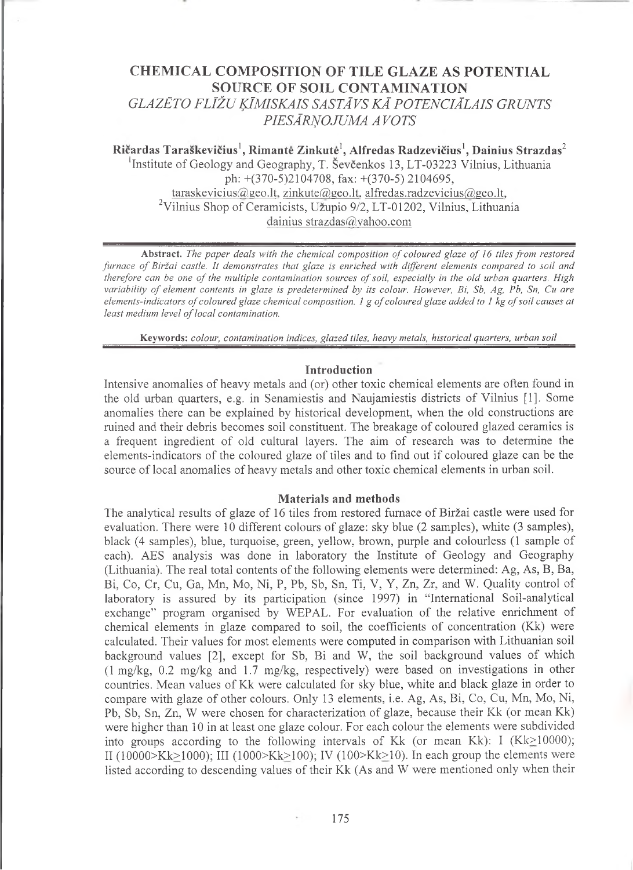# **CHEMICAL COMPOSITION OF TILE GLAZE AS POTENTIAL SOURCE OF SOIL CONTAMINATION** *GLAZĒTO FLĪŽU ĶĪMISKAIS SASTĀ VS KĀ POTENCIĀLAIS GR UNTS PIESĀRŅOJUMA A VOTS*

Ričardas Taraškevičius<sup>1</sup>, Rimantė Zinkutė<sup>1</sup>, Alfredas Radzevičius<sup>1</sup>, Dainius Strazdas<sup>2</sup> <sup>1</sup> Institute of Geology and Geography, T. Ševčenkos 13, LT-03223 Vilnius, Lithuania

> ph: +(370-5)2104708, fax: +(370-5) 2104695, [taraskevicius@geo.lt,](mailto:taraskevicius@geo.lt) [zinkute@geo.lt](mailto:zinkute@geo.lt), [alfredas.radzevieius@geo.lt,](mailto:alfredas.radzevieius@geo.lt) <sup>2</sup>Vilnius Shop of Ceramicists, Uzupio 9/2, LT-01202, Vilnius, Lithuania [dainius strazdas@yahoo.com](mailto:dainius_strazdas@yahoo.com)

**Abstract.** *The paper deals with the chemical composition of coloured glaze of 16 tiles from restored furnace of Biržai castle. It demonstrates that glaze is enriched with different elements compared to soil and therefore can be one of the multiple contamination sources of soil, especially in the old urban quarters. High variability of element contents in glaze is predetermined by its colour. However, Bi, Sb, Ag, Pb, Sn, Cu are elements-indicators of coloured glaze chemical composition. 1 g of coloured glaze added to 1 kg of soil causes at least medium level of local contamination.*

**Keywords:** *colour, contamination indices, glazed tiles, heavy metals, historical quarters, urban soil*

#### **Introduction**

Intensive anomalies of heavy metals and (or) other toxic chemical elements are often found in the old urban quarters, e.g. in Senamiestis and Naujamiestis districts of Vilnius [1]. Some anomalies there can be explained by historical development, when the old constructions are ruined and their debris becomes soil constituent. The breakage of coloured glazed ceramics is a frequent ingredient of old cultural layers. The aim of research was to determine the elements-indicators of the coloured glaze of tiles and to find out if coloured glaze can be the source of local anomalies of heavy metals and other toxic chemical elements in urban soil.

## **Materials and methods**

The analytical results of glaze of 16 tiles from restored furnace of Biržai castle were used for evaluation. There were 10 different colours of glaze: sky blue (2 samples), white (3 samples), black (4 samples), blue, turquoise, green, yellow, brown, purple and colourless (1 sample of each). AES analysis was done in laboratory the Institute of Geology and Geography (Lithuania). The real total contents of the following elements were determined: Ag, As, B, Ba, Bi, Co, Cr, Cu, Ga, Mn, Mo, Ni, P, Pb, Sb, Sn, Ti, V, Y, Zn, Zr, and W. Quality control of laboratory is assured by its participation (since 1997) in "International Soil-analytical exchange" program organised by WEPAL. For evaluation of the relative enrichment of chemical elements in glaze compared to soil, the coefficients of concentration (Kk) were calculated. Their values for most elements were computed in comparison with Lithuanian soil background values [2], except for Sb, Bi and W, the soil background values of which (1 mg/kg, 0.2 mg/kg and 1.7 mg/kg, respectively) were based on investigations in other countries. Mean values of Kk were calculated for sky blue, white and black glaze in order to compare with glaze of other colours. Only 13 elements, i.e. Ag, As, Bi, Co, Cu, Mn, Mo, Ni, Pb, Sb, Sn, Zn, W were chosen for characterization of glaze, because their Kk (or mean Kk) were higher than 10 in at least one glaze colour. For each colour the elements were subdivided into groups according to the following intervals of Kk (or mean Kk): I (Kk $\geq$ 10000); II (10000>Kk>1000); III (1000>Kk>100); IV (100>Kk>10). In each group the elements were listed according to descending values of their Kk (As and W were mentioned only when their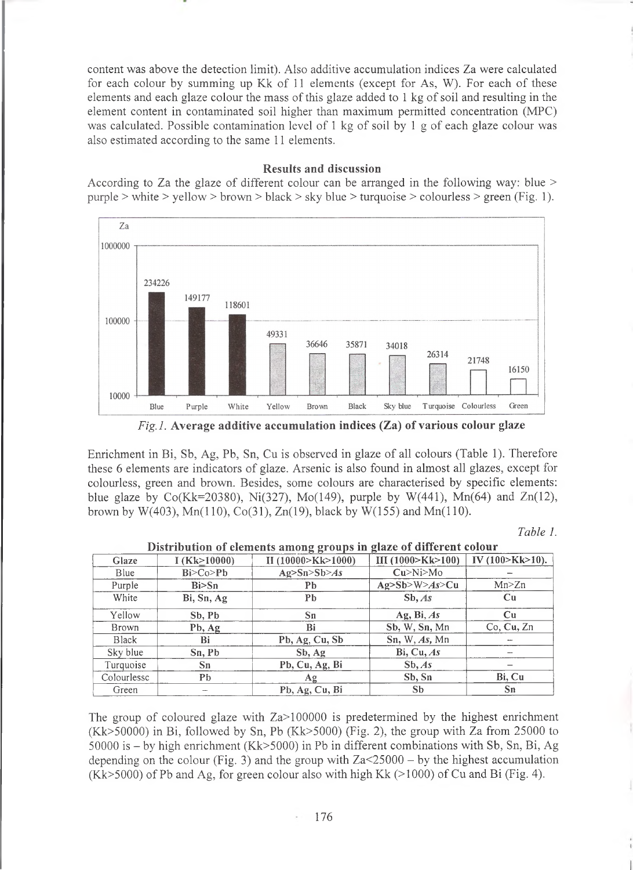content was above the detection limit). Also additive accumulation indices Za were calculated for each colour by summing up Kk of 11 elements (except for As, W). For each of these elements and each glaze colour the mass of this glaze added to 1 kg of soil and resulting in the element content in contaminated soil higher than maximum permitted concentration (MPC) was calculated. Possible contamination level of 1 kg of soil by 1 g of each glaze colour was also estimated according to the same 11 elements.

## **Results and discussion**

According to Za the glaze of different colour can be arranged in the following way: blue > purple > white > yellow > brown > black > sky blue > turquoise > colourless > green (Fig. 1).



*Fig. 1.* **Average additive accumulation indices (Za) of various colour glaze**

Enrichment in Bi, Sb, Ag, Pb, Sn, Cu is observed in glaze of all colours (Table 1). Therefore these 6 elements are indicators of glaze. Arsenic is also found in almost all glazes, except for colourless, green and brown. Besides, some colours are characterised by specific elements: blue glaze by Co(Kk=20380), Ni(327), Mo(149), purple by W(441), Mn(64) and Zn(12), brown by W(403), Mn(110), Co(31), Zn(19), black by W(155) and Mn(110).

*Table 1.*

| Glaze        | I (Kk > 10000) | .<br>II(10000>Kk>1000) | III (1000>Kk>100) | IV (100>Kk>10). |
|--------------|----------------|------------------------|-------------------|-----------------|
| Blue         | Bi > Co > Pb   | Ag>Sn>Sb>As            | Cu>Ni>Mo          |                 |
| Purple       | Bi>Sn          | Pb                     | Ag>Sh>W>As>Cu     | Mn > Zn         |
| White        | Bi, Sn, Ag     | Pb                     | Sb, As            | Cu              |
| Yellow       | Sb, Pb         | Sn                     | Ag, Bi, $As$      | Cu              |
| Brown        | Pb, Ag         | Bi                     | Sb, W, Sn, Mn     | Co, Cu, Zn      |
| <b>Black</b> | Bi             | Pb, Ag, Cu, Sb         | Sn, W, As, Mn     |                 |
| Sky blue     | Sn, Pb         | Sb, Ag                 | Bi, Cu, As        |                 |
| Turquoise    | Sn             | Pb, Cu, Ag, Bi         | Sb, As            |                 |
| Colourlessc  | Pb             | Ag                     | Sb, Sn            | Bi, Cu          |
| Green        | ـــ            | Pb, Ag, Cu, Bi         | <b>Sb</b>         | Sn              |

|  |  |  |  | Distribution of elements among groups in glaze of different colour |  |
|--|--|--|--|--------------------------------------------------------------------|--|
|  |  |  |  |                                                                    |  |

The group of coloured glaze with  $Za > 100000$  is predetermined by the highest enrichment (Kk>50000) in Bi, followed by Sn, Pb (Kk>5000) (Fig. 2), the group with Za from 25000 to 50000 is - by high enrichment (Kk>5000) in Pb in different combinations with Sb, Sn, Bi, Ag depending on the colour (Fig. 3) and the group with  $Za<25000 - by$  the highest accumulation  $(Kk>5000)$  of Pb and Ag, for green colour also with high Kk  $(>1000)$  of Cu and Bi (Fig. 4).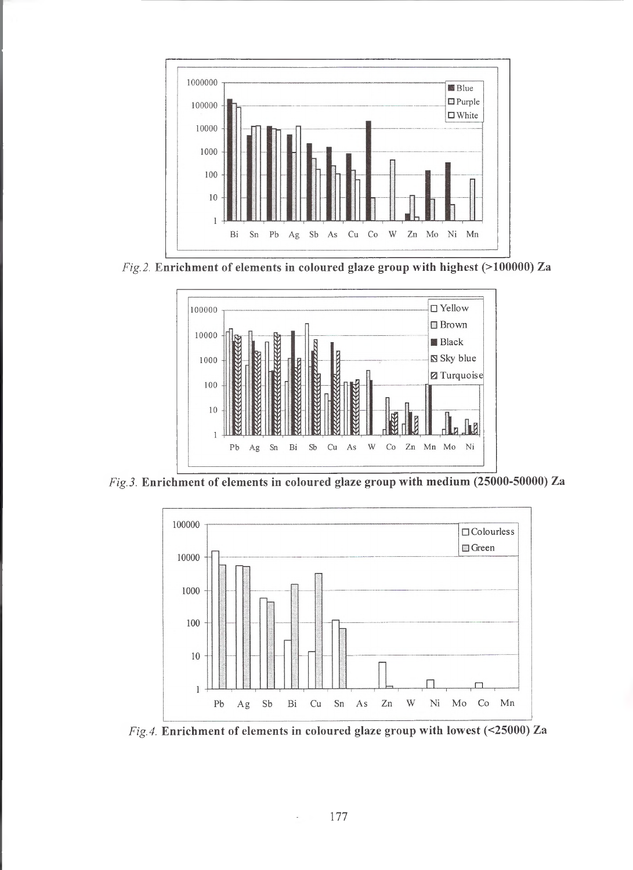

*Fig. 2.* **Enrichment of elements in coloured glaze group with highest (>100000) Za**



*Fig. 3.* **Enrichment of elements in coloured glaze group with medium (25000-50000) Za**



*Fig. 4.* **Enrichment of elements in coloured glaze group with lowest (<25000) Za**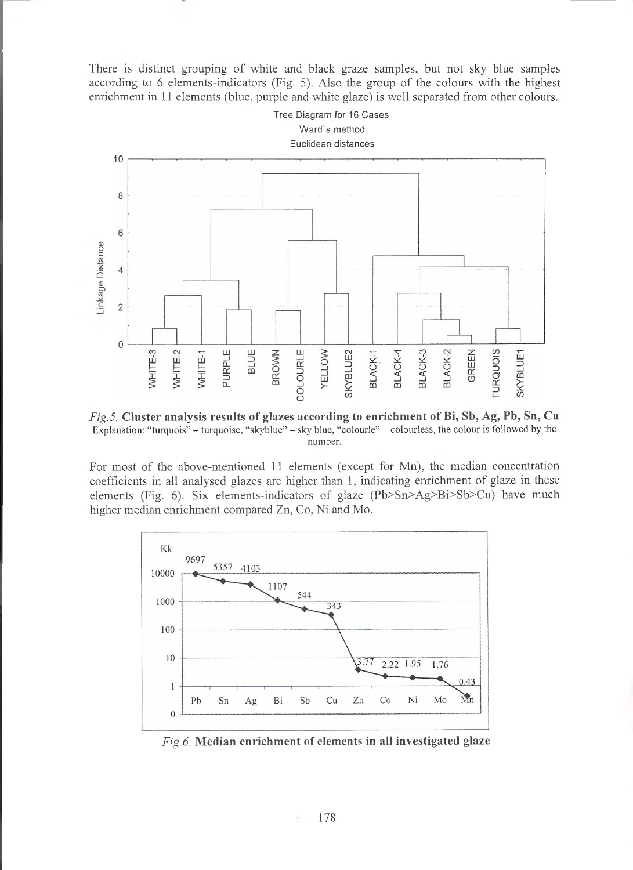There is distinct grouping of white and black graze samples, but not sky blue samples according to 6 elements-indicators (Fig. 5). Also the group of the colours with the highest enrichment in 11 elements (blue, purple and white glaze) is well separated from other colours.



*Fig. 5.* **Cluster analysis results of glazes according to enrichment of Bi, Sb, Ag,** Pb, **Sn, Cu Explanation: "turquois" - turquoise, "skyblue" - sky blue, "colourle" - colourless, the colour is followed by the number.**

For most of the above-mentioned 11 elements (except for Mn), the median concentration coefficients in all analysed glazes are higher than 1, indicating enrichment of glaze in these elements (Fig. 6). Six elements-indicators of glaze (Pb>Sn>Ag>Bi>Sb>Cu) have much higher median enrichment compared Zn, Co, Ni and Mo.



*Fig. 6.* **Median enrichment of elements in all investigated glaze**

ř.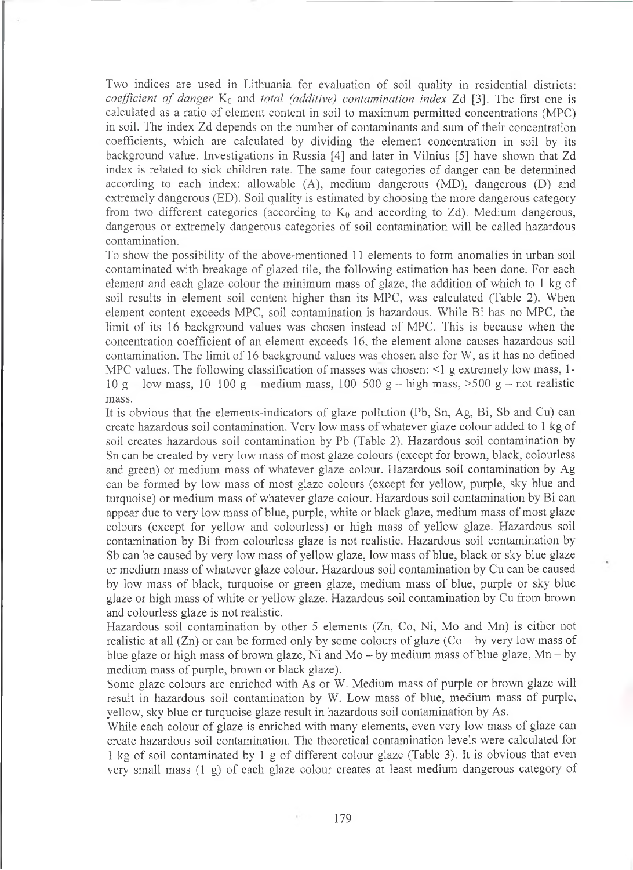Two indices are used in Lithuania for evaluation of soil quality in residential districts: *coefficient of danger* K<sub>0</sub> and *total (additive) contamination index* Zd [3]. The first one is calculated as a ratio of element content in soil to maximum permitted concentrations (MPC) in soil. The index Zd depends on the number of contaminants and sum of their concentration coefficients, which are calculated by dividing the element concentration in soil by its background value. Investigations in Russia [4] and later in Vilnius [5] have shown that Zd index is related to sick children rate. The same four categories of danger can be determined according to each index: allowable (A), medium dangerous (MD), dangerous (D) and extremely dangerous (ED). Soil quality is estimated by choosing the more dangerous category from two different categories (according to  $K_0$  and according to Zd). Medium dangerous, dangerous or extremely dangerous categories of soil contamination will be called hazardous contamination.

To show the possibility of the above-mentioned 11 elements to form anomalies in urban soil contaminated with breakage of glazed tile, the following estimation has been done. For each element and each glaze colour the minimum mass of glaze, the addition of which to 1 kg of soil results in element soil content higher than its MPC, was calculated (Table 2). When element content exceeds MPC, soil contamination is hazardous. While Bi has no MPC, the limit of its 16 background values was chosen instead of MPC. This is because when the concentration coefficient of an element exceeds 16, the element alone causes hazardous soil contamination. The limit of 16 background values was chosen also for W, as it has no defined MPC values. The following classification of masses was chosen:  $\leq 1$  g extremely low mass, 1-10 g – low mass, 10–100 g – medium mass, 100–500 g – high mass,  $>500$  g – not realistic mass.

It is obvious that the elements-indicators of glaze pollution (Pb, Sn, Ag, Bi, Sb and Cu) can create hazardous soil contamination. Very low mass of whatever glaze colour added to 1 kg of soil creates hazardous soil contamination by Pb (Table 2). Hazardous soil contamination by Sn can be created by very low mass of most glaze colours (except for brown, black, colourless and green) or medium mass of whatever glaze colour. Hazardous soil contamination by Ag can be formed by low mass of most glaze colours (except for yellow, purple, sky blue and turquoise) or medium mass of whatever glaze colour. Hazardous soil contamination by Bi can appear due to very low mass of blue, purple, white or black glaze, medium mass of most glaze colours (except for yellow and colourless) or high mass of yellow glaze. Hazardous soil contamination by Bi from colourless glaze is not realistic. Hazardous soil contamination by Sb can be caused by very low mass of yellow glaze, low mass of blue, black or sky blue glaze or medium mass of whatever glaze colour. Hazardous soil contamination by Cu can be caused by low mass of black, turquoise or green glaze, medium mass of blue, purple or sky blue glaze or high mass of white or yellow glaze. Hazardous soil contamination by Cu from brown and colourless glaze is not realistic.

Hazardous soil contamination by other 5 elements (Zn, Co, Ni, Mo and Mn) is either not realistic at all  $(Zn)$  or can be formed only by some colours of glaze  $(Co - by$  very low mass of blue glaze or high mass of brown glaze, Ni and Mo  $-$  by medium mass of blue glaze, Mn  $-$  by medium mass of purple, brown or black glaze).

Some glaze colours are enriched with As or W. Medium mass of purple or brown glaze will result in hazardous soil contamination by W. Low mass of blue, medium mass of purple, yellow, sky blue or turquoise glaze result in hazardous soil contamination by As.

While each colour of glaze is enriched with many elements, even very low mass of glaze can create hazardous soil contamination. The theoretical contamination levels were calculated for 1 kg of soil contaminated by 1 g of different colour glaze (Table 3). It is obvious that even very small mass (1 g) of each glaze colour creates at least medium dangerous category of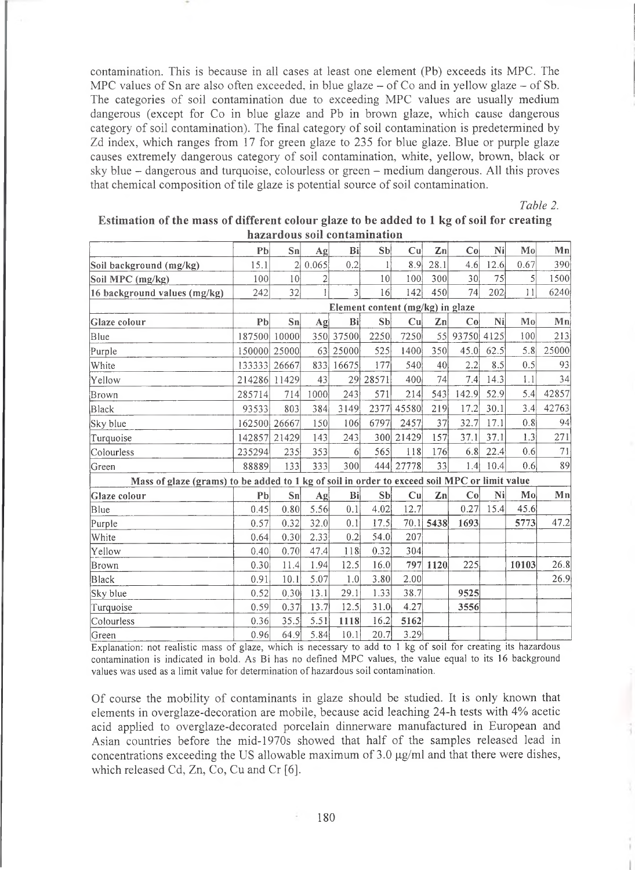contamination. This is because in all cases at least one element (Pb) exceeds its MPC. The MPC values of Sn are also often exceeded, in blue glaze  $-$  of Co and in yellow glaze  $-$  of Sb. The categories of soil contamination due to exceeding MPC values are usually medium dangerous (except for Co in blue glaze and Pb in brown glaze, which cause dangerous category of soil contamination). The final category of soil contamination is predetermined by Zd index, which ranges from 17 for green glaze to 235 for blue glaze. Blue or purple glaze causes extremely dangerous category of soil contamination, white, yellow, brown, black or sky blue - dangerous and turquoise, colourless or green - medium dangerous. All this proves that chemical composition of tile glaze is potential source of soil contamination.

*Table 2.*

| Estimation of the mass of different colour glaze to be added to 1 kg of soil for creating |                              |  |  |
|-------------------------------------------------------------------------------------------|------------------------------|--|--|
|                                                                                           | hazardous soil contamination |  |  |

|                                                                                              |                | питит пома зонг сонтинный пон |                |                |                |                                  |                |       |                |       |       |  |
|----------------------------------------------------------------------------------------------|----------------|-------------------------------|----------------|----------------|----------------|----------------------------------|----------------|-------|----------------|-------|-------|--|
|                                                                                              | P <sub>b</sub> | Sn                            | Ag             | Bi             | S <sub>b</sub> | Cu                               | Zn             | Co    | Ni             | Mo    | Mn    |  |
| Soil background (mg/kg)                                                                      | 15.1           | 2                             | 0.065          | 0.2            |                | 8.9                              | 28.1           | 4.6   | 12.6           | 0.67  | 390   |  |
| Soil MPC (mg/kg)                                                                             | 100            | 10 <sup>1</sup>               | $\overline{c}$ |                | 10             | 100                              | 300            | 30    | 75             | 5     | 1500  |  |
| 16 background values (mg/kg)                                                                 | 242            | 32                            | $\mathbf{1}$   | $\overline{3}$ | 16             | 142                              | 450            | 74    | 202            | 11    | 6240  |  |
|                                                                                              |                |                               |                |                |                | Element content (mg/kg) in glaze |                |       |                |       |       |  |
| Glaze colour                                                                                 | P <sub>b</sub> | Sn                            | $\bf{Ag}$      | Bi             | S <sub>b</sub> | Cu                               | $\mathbf{Z}$ n | Co    | N <sub>i</sub> | Mo    | Mn    |  |
| Blue                                                                                         | 187500         | 10000                         | 350            | 37500          | 2250           | 7250                             | 55             | 93750 | 4125           | 100   | 213   |  |
| Purple                                                                                       | 150000         | 25000                         | 63             | 25000          | 525            | 1400                             | 350            | 45.0  | 62.5           | 5.8   | 25000 |  |
| White                                                                                        | 133333         | 26667                         | 833            | 16675          | 177            | 540                              | 40             | 2.2   | 8.5            | 0.5   | 93    |  |
| Yellow                                                                                       | 214286         | 11429                         | 43             | 29             | 28571          | 400                              | 74             | 7.4   | 14.3           | 1.1   | 34    |  |
| Brown                                                                                        | 285714         | 714                           | 1000           | 243            | 571            | 214                              | 543            | 142.9 | 52.9           | 5.4   | 42857 |  |
| Black                                                                                        | 93533          | 803                           | 384            | 3149           | 2377           | 45580                            | 219            | 17.2  | 30.1           | 3.4   | 42763 |  |
| Sky blue                                                                                     | 162500         | 26667                         | 150            | 106            | 6797           | 2457                             | 37             | 32.7  | 17.1           | 0.8   | 94    |  |
| Turquoise                                                                                    | 142857 21429   |                               | 143            | 243            |                | 300 21429                        | 157            | 37.1  | 37.1           | 1.3   | 271   |  |
| Colourless                                                                                   | 235294         | 235                           | 353            | 6              | 565            | 118                              | 176            | 6.8   | 22.4           | 0.6   | 71    |  |
| Green                                                                                        | 88889          | 133                           | 333            | 300            | 444            | 27778                            | 33             | 1.4   | 10.4           | 0.6   | 89    |  |
| Mass of glaze (grams) to be added to 1 kg of soil in order to exceed soil MPC or limit value |                |                               |                |                |                |                                  |                |       |                |       |       |  |
| Glaze colour                                                                                 | P <sub>b</sub> | Sn                            | Ag             | Bi             | Sb             | Cu                               | Zn             | Co    | Ni             | Mo    | Mn    |  |
| Blue                                                                                         | 0.45           | 0.80                          | 5.56           | 0.1            | 4.02           | 12.7                             |                | 0.27  | 15.4           | 45.6  |       |  |
| Purple                                                                                       | 0.57           | 0.32                          | 32.0           | 0.1            | 17.5           |                                  | 70.1 5438      | 1693  |                | 5773  | 47.2  |  |
| White                                                                                        | 0.64           | 0.30                          | 2.33           | 0.2            | 54.0           | 207                              |                |       |                |       |       |  |
| Yellow                                                                                       | 0.40           | 0.70                          | 47.4           | 118            | 0.32           | 304                              |                |       |                |       |       |  |
| Brown                                                                                        | 0.30           | 11.4                          | 1.94           | 12.5           | 16.0           | 797                              | 1120           | 225   |                | 10103 | 26.8  |  |
| <b>Black</b>                                                                                 | 0.91           | 10.1                          | 5.07           | 1.0            | 3.80           | 2.00                             |                |       |                |       | 26.9  |  |
| Sky blue                                                                                     | 0.52           | 0.30                          | 13.1           | 29.1           | 1.33           | 38.7                             |                | 9525  |                |       |       |  |
| Turquoise                                                                                    | 0.59           | 0.37                          | 13.7           | 12.5           | 31.0           | 4.27                             |                | 3556  |                |       |       |  |
| Colourless                                                                                   | 0.36           | 35.5                          | 5.51           | 1118           | 16.2           | 5162                             |                |       |                |       |       |  |
| Green                                                                                        | 0.96           | 64.9                          | 5.84           | 10.1           | 20.7           | 3.29                             |                |       |                |       |       |  |

Explanation: not realistic mass of glaze, which is necessary to add to 1 kg of soil for creating its hazardous contamination is indicated in bold. As Bi has no defined MPC values, the value equal to its 16 background values was used as a limit value for determination of hazardous soil contamination.

Of course the mobility of contaminants in glaze should be studied. It is only known that elements in overglaze-decoration are mobile, because acid leaching 24-h tests with 4% acetic acid applied to overglaze-decorated porcelain dinnerware manufactured in European and Asian countries before the mid-1970s showed that half of the samples released lead in concentrations exceeding the US allowable maximum of  $3.0 \mu g/ml$  and that there were dishes, which released Cd,  $Zn$ , Co, Cu and Cr [6].